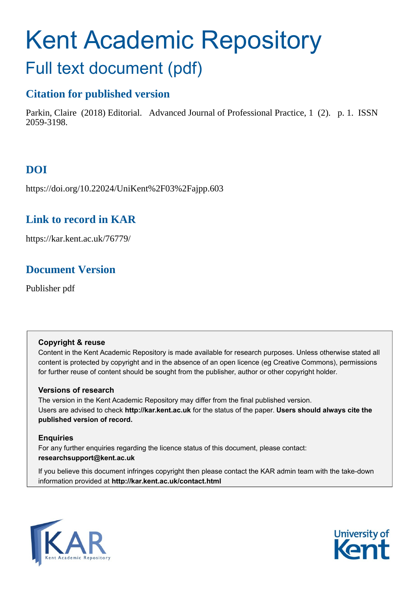# Kent Academic Repository

# Full text document (pdf)

### **Citation for published version**

Parkin, Claire (2018) Editorial. Advanced Journal of Professional Practice, 1 (2). p. 1. ISSN 2059-3198.

# **DOI**

https://doi.org/10.22024/UniKent%2F03%2Fajpp.603

# **Link to record in KAR**

https://kar.kent.ac.uk/76779/

# **Document Version**

Publisher pdf

#### **Copyright & reuse**

Content in the Kent Academic Repository is made available for research purposes. Unless otherwise stated all content is protected by copyright and in the absence of an open licence (eg Creative Commons), permissions for further reuse of content should be sought from the publisher, author or other copyright holder.

#### **Versions of research**

The version in the Kent Academic Repository may differ from the final published version. Users are advised to check **http://kar.kent.ac.uk** for the status of the paper. **Users should always cite the published version of record.**

#### **Enquiries**

For any further enquiries regarding the licence status of this document, please contact: **researchsupport@kent.ac.uk**

If you believe this document infringes copyright then please contact the KAR admin team with the take-down information provided at **http://kar.kent.ac.uk/contact.html**